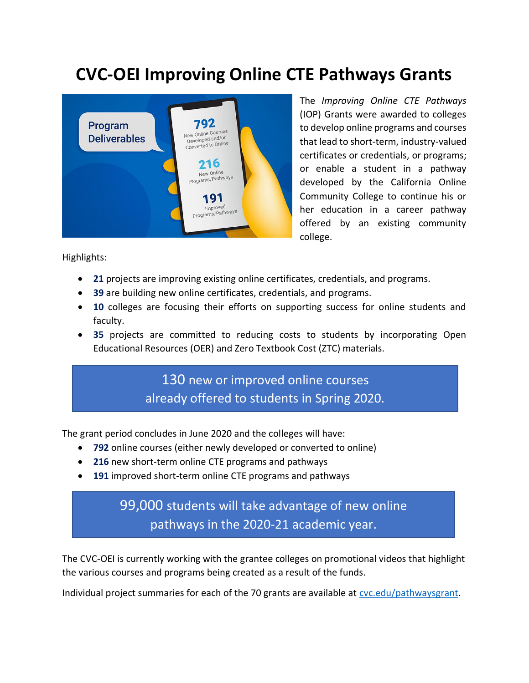## **CVC-OEI Improving Online CTE Pathways Grants**



The *Improving Online CTE Pathways* (IOP) Grants were awarded to colleges to develop online programs and courses that lead to short-term, industry-valued certificates or credentials, or programs; or enable a student in a pathway developed by the California Online Community College to continue his or her education in a career pathway offered by an existing community college.

Highlights:

- **21** projects are improving existing online certificates, credentials, and programs.
- **39** are building new online certificates, credentials, and programs.
- **10** colleges are focusing their efforts on supporting success for online students and faculty.
- **35** projects are committed to reducing costs to students by incorporating Open Educational Resources (OER) and Zero Textbook Cost (ZTC) materials.

130 new or improved online courses already offered to students in Spring 2020.

The grant period concludes in June 2020 and the colleges will have:

- **792** online courses (either newly developed or converted to online)
- **216** new short-term online CTE programs and pathways
- **191** improved short-term online CTE programs and pathways

## 99,000 students will take advantage of new online pathways in the 2020-21 academic year.

The CVC-OEI is currently working with the grantee colleges on promotional videos that highlight the various courses and programs being created as a result of the funds.

Individual project summaries for each of the 70 grants are available a[t cvc.edu/pathwaysgrant.](https://cvc.edu/pathwaysgrant/)